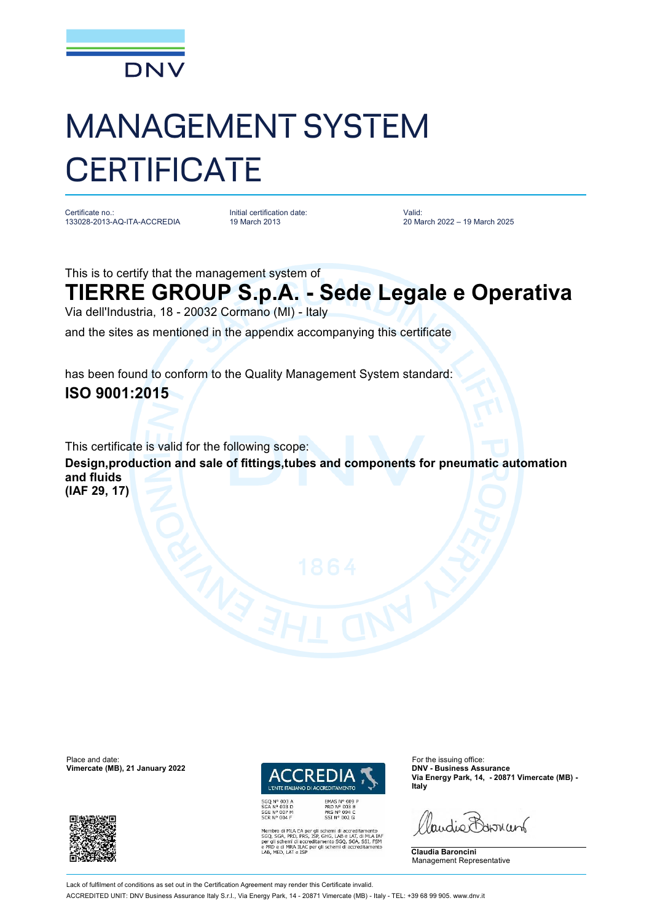

## MANAGEMENT SYSTEM **CERTIFICATE**

Certificate no.: 133028-2013-AQ-ITA-ACCREDIA Initial certification date: 19 March 2013

Valid: 20 March 2022 – 19 March 2025

This is to certify that the management system of

## **TIERRE GROUP S.p.A. - Sede Legale e Operativa**

Via dell'Industria, 18 - 20032 Cormano (MI) - Italy

and the sites as mentioned in the appendix accompanying this certificate

has been found to conform to the Quality Management System standard: **ISO 9001:2015**

This certificate is valid for the following scope: **Design,production and sale of fittings,tubes and components for pneumatic automation and fluids (IAF 29, 17)**

Place and date: For the issuing office:<br> **Place and date:** For the issuing office:<br> **Place and date:** For the issuing office:<br> **Place and date:** For the issuing office: **Vimercate (MB), 21 January 2022** 





EMAS N° 009 P<br>PRD N° 003 B<br>PRS N° 094 C<br>SSI N° 002 G ILA EA per gli schemi di accreditamento<br>PRD, PRS, ISP, GHG, LAB e LAT, di MLA IAF<br>ni di accreditamento SGQ, SGA, SSI, FSM<br>IRA ILAC per gli schemi di accreditamento **Via Energy Park, 14, - 20871 Vimercate (MB) - Italy**

Paudie Barriant

**Claudia Baroncini** Management Representative

Lack of fulfilment of conditions as set out in the Certification Agreement may render this Certificate invalid. ACCREDITED UNIT: DNV Business Assurance Italy S.r.l., Via Energy Park, 14 - 20871 Vimercate (MB) - Italy - TEL: +39 68 99 905. [www.dnv.it](http://www.dnv.it)